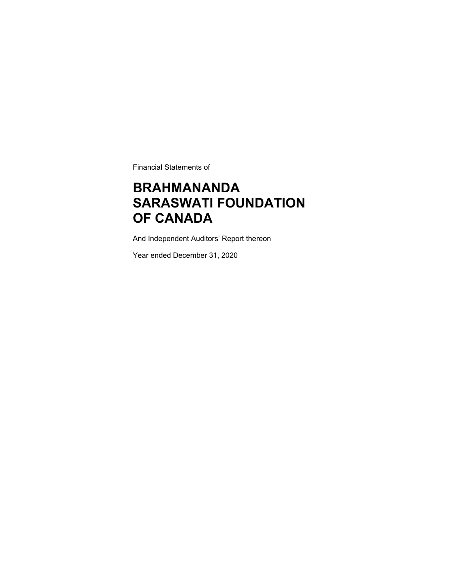Financial Statements of

# **BRAHMANANDA SARASWATI FOUNDATION OF CANADA**

And Independent Auditors' Report thereon

Year ended December 31, 2020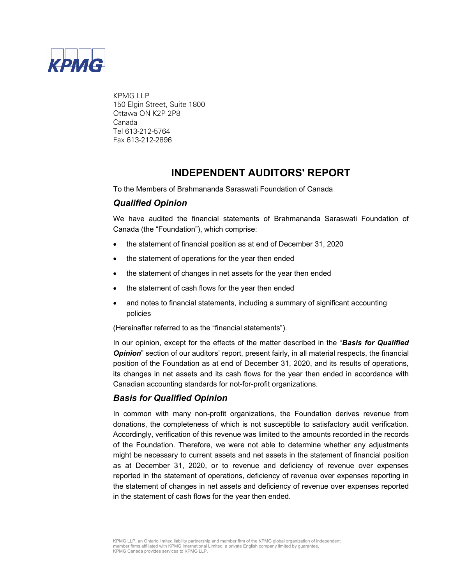

KPMG LLP 150 Elgin Street, Suite 1800 Ottawa ON K2P 2P8 Canada Tel 613-212-5764 Fax 613-212-2896

### **INDEPENDENT AUDITORS' REPORT**

To the Members of Brahmananda Saraswati Foundation of Canada

### *Qualified Opinion*

We have audited the financial statements of Brahmananda Saraswati Foundation of Canada (the "Foundation"), which comprise:

- the statement of financial position as at end of December 31, 2020
- the statement of operations for the year then ended
- the statement of changes in net assets for the year then ended
- the statement of cash flows for the year then ended
- and notes to financial statements, including a summary of significant accounting policies

(Hereinafter referred to as the "financial statements").

In our opinion, except for the effects of the matter described in the "*Basis for Qualified Opinion*" section of our auditors' report, present fairly, in all material respects, the financial position of the Foundation as at end of December 31, 2020, and its results of operations, its changes in net assets and its cash flows for the year then ended in accordance with Canadian accounting standards for not-for-profit organizations.

### *Basis for Qualified Opinion*

In common with many non-profit organizations, the Foundation derives revenue from donations, the completeness of which is not susceptible to satisfactory audit verification. Accordingly, verification of this revenue was limited to the amounts recorded in the records of the Foundation. Therefore, we were not able to determine whether any adjustments might be necessary to current assets and net assets in the statement of financial position as at December 31, 2020, or to revenue and deficiency of revenue over expenses reported in the statement of operations, deficiency of revenue over expenses reporting in the statement of changes in net assets and deficiency of revenue over expenses reported in the statement of cash flows for the year then ended.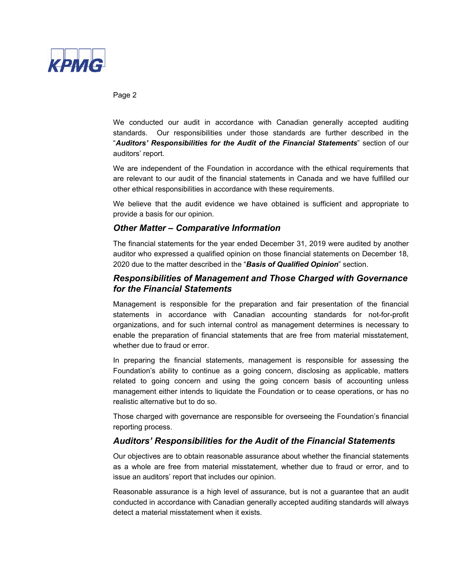

Page 2

We conducted our audit in accordance with Canadian generally accepted auditing standards. Our responsibilities under those standards are further described in the "*Auditors' Responsibilities for the Audit of the Financial Statements*" section of our auditors' report.

We are independent of the Foundation in accordance with the ethical requirements that are relevant to our audit of the financial statements in Canada and we have fulfilled our other ethical responsibilities in accordance with these requirements.

We believe that the audit evidence we have obtained is sufficient and appropriate to provide a basis for our opinion.

### *Other Matter – Comparative Information*

The financial statements for the year ended December 31, 2019 were audited by another auditor who expressed a qualified opinion on those financial statements on December 18, 2020 due to the matter described in the "*Basis of Qualified Opinion*" section.

### *Responsibilities of Management and Those Charged with Governance for the Financial Statements*

Management is responsible for the preparation and fair presentation of the financial statements in accordance with Canadian accounting standards for not-for-profit organizations, and for such internal control as management determines is necessary to enable the preparation of financial statements that are free from material misstatement, whether due to fraud or error.

In preparing the financial statements, management is responsible for assessing the Foundation's ability to continue as a going concern, disclosing as applicable, matters related to going concern and using the going concern basis of accounting unless management either intends to liquidate the Foundation or to cease operations, or has no realistic alternative but to do so.

Those charged with governance are responsible for overseeing the Foundation's financial reporting process.

### *Auditors' Responsibilities for the Audit of the Financial Statements*

Our objectives are to obtain reasonable assurance about whether the financial statements as a whole are free from material misstatement, whether due to fraud or error, and to issue an auditors' report that includes our opinion.

Reasonable assurance is a high level of assurance, but is not a guarantee that an audit conducted in accordance with Canadian generally accepted auditing standards will always detect a material misstatement when it exists.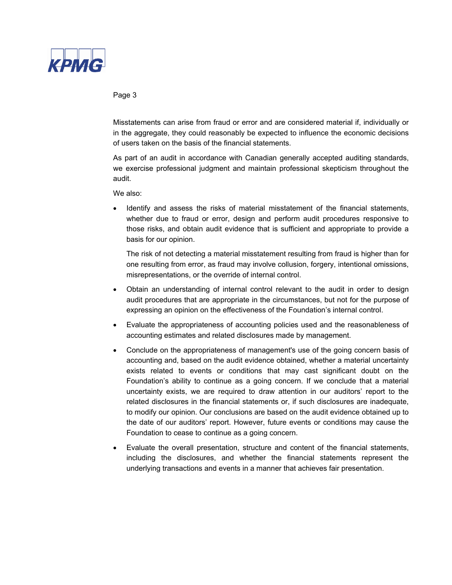

#### Page 3

Misstatements can arise from fraud or error and are considered material if, individually or in the aggregate, they could reasonably be expected to influence the economic decisions of users taken on the basis of the financial statements.

As part of an audit in accordance with Canadian generally accepted auditing standards, we exercise professional judgment and maintain professional skepticism throughout the audit.

We also:

 Identify and assess the risks of material misstatement of the financial statements, whether due to fraud or error, design and perform audit procedures responsive to those risks, and obtain audit evidence that is sufficient and appropriate to provide a basis for our opinion.

The risk of not detecting a material misstatement resulting from fraud is higher than for one resulting from error, as fraud may involve collusion, forgery, intentional omissions, misrepresentations, or the override of internal control.

- Obtain an understanding of internal control relevant to the audit in order to design audit procedures that are appropriate in the circumstances, but not for the purpose of expressing an opinion on the effectiveness of the Foundation's internal control.
- Evaluate the appropriateness of accounting policies used and the reasonableness of accounting estimates and related disclosures made by management.
- Conclude on the appropriateness of management's use of the going concern basis of accounting and, based on the audit evidence obtained, whether a material uncertainty exists related to events or conditions that may cast significant doubt on the Foundation's ability to continue as a going concern. If we conclude that a material uncertainty exists, we are required to draw attention in our auditors' report to the related disclosures in the financial statements or, if such disclosures are inadequate, to modify our opinion. Our conclusions are based on the audit evidence obtained up to the date of our auditors' report. However, future events or conditions may cause the Foundation to cease to continue as a going concern.
- Evaluate the overall presentation, structure and content of the financial statements, including the disclosures, and whether the financial statements represent the underlying transactions and events in a manner that achieves fair presentation.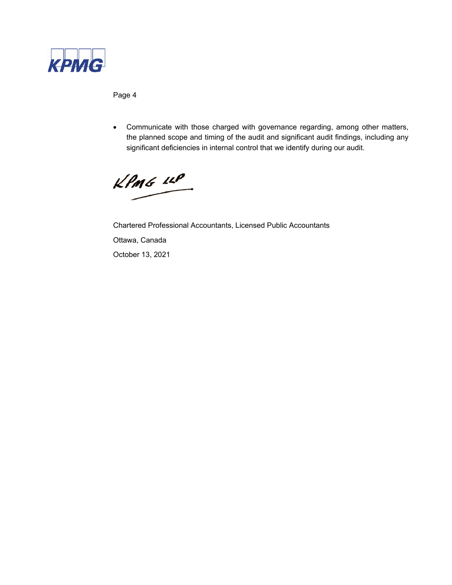

Page 4

 Communicate with those charged with governance regarding, among other matters, the planned scope and timing of the audit and significant audit findings, including any significant deficiencies in internal control that we identify during our audit.

 $k$ *Pm<sub>6</sub>*  $\mu$ <sup>p</sup>

Chartered Professional Accountants, Licensed Public Accountants Ottawa, Canada October 13, 2021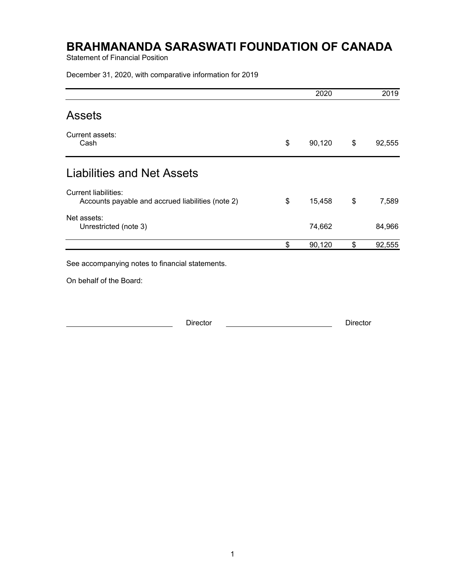Statement of Financial Position

December 31, 2020, with comparative information for 2019

| 2020         | 2019         |
|--------------|--------------|
|              |              |
| \$<br>90,120 | \$<br>92,555 |
|              |              |
| \$<br>15,458 | \$<br>7,589  |
| 74,662       | 84,966       |
| \$<br>90,120 | \$<br>92,555 |
|              |              |

On behalf of the Board:

**Director** Director **Director Director Director Director**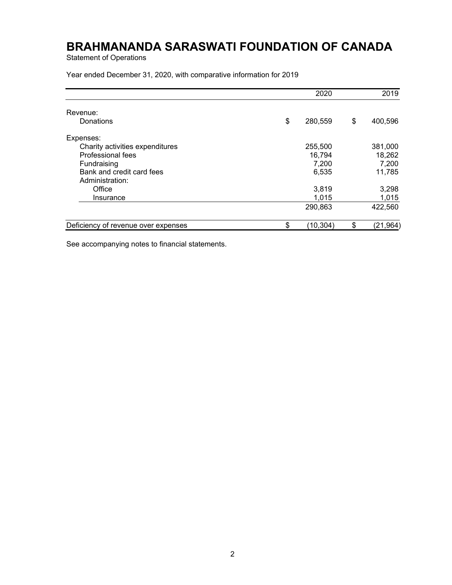Statement of Operations

Year ended December 31, 2020, with comparative information for 2019

|                                     | 2020            | 2019            |
|-------------------------------------|-----------------|-----------------|
| Revenue:                            |                 |                 |
| Donations                           | \$<br>280,559   | \$<br>400,596   |
| Expenses:                           |                 |                 |
| Charity activities expenditures     | 255,500         | 381,000         |
| Professional fees                   | 16,794          | 18,262          |
| Fundraising                         | 7,200           | 7,200           |
| Bank and credit card fees           | 6,535           | 11,785          |
| Administration:                     |                 |                 |
| Office                              | 3,819           | 3,298           |
| Insurance                           | 1,015           | 1,015           |
|                                     | 290,863         | 422,560         |
| Deficiency of revenue over expenses | \$<br>(10, 304) | \$<br>(21, 964) |

See accompanying notes to financial statements.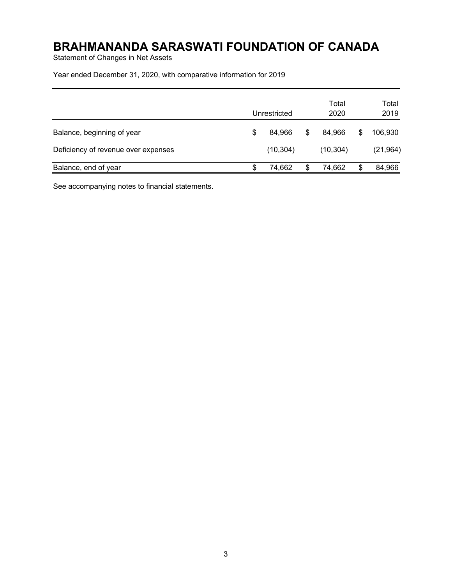Statement of Changes in Net Assets

Year ended December 31, 2020, with comparative information for 2019

|                                     |   | Unrestricted | Total<br>2020 | Total<br>2019 |
|-------------------------------------|---|--------------|---------------|---------------|
| Balance, beginning of year          | S | 84.966       | \$<br>84,966  | \$<br>106,930 |
| Deficiency of revenue over expenses |   | (10, 304)    | (10, 304)     | (21, 964)     |
| Balance, end of year                |   | 74,662       | \$<br>74,662  | \$<br>84,966  |

See accompanying notes to financial statements.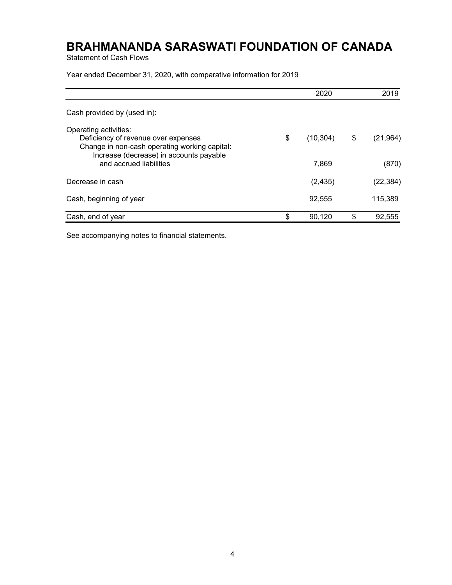Statement of Cash Flows

Year ended December 31, 2020, with comparative information for 2019

|                                                                                                                                                          | 2020            | 2019           |
|----------------------------------------------------------------------------------------------------------------------------------------------------------|-----------------|----------------|
| Cash provided by (used in):                                                                                                                              |                 |                |
| Operating activities:<br>Deficiency of revenue over expenses<br>Change in non-cash operating working capital:<br>Increase (decrease) in accounts payable | \$<br>(10, 304) | \$<br>(21,964) |
| and accrued liabilities                                                                                                                                  | 7,869           | (870)          |
| Decrease in cash                                                                                                                                         | (2, 435)        | (22,384)       |
| Cash, beginning of year                                                                                                                                  | 92,555          | 115,389        |
| Cash, end of year                                                                                                                                        | \$<br>90,120    | \$<br>92,555   |

See accompanying notes to financial statements.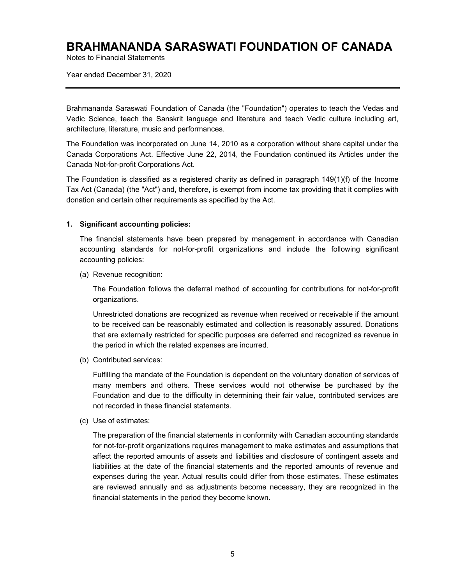Notes to Financial Statements

Year ended December 31, 2020

Brahmananda Saraswati Foundation of Canada (the "Foundation") operates to teach the Vedas and Vedic Science, teach the Sanskrit language and literature and teach Vedic culture including art, architecture, literature, music and performances.

The Foundation was incorporated on June 14, 2010 as a corporation without share capital under the Canada Corporations Act. Effective June 22, 2014, the Foundation continued its Articles under the Canada Not-for-profit Corporations Act.

The Foundation is classified as a registered charity as defined in paragraph 149(1)(f) of the Income Tax Act (Canada) (the "Act") and, therefore, is exempt from income tax providing that it complies with donation and certain other requirements as specified by the Act.

### **1. Significant accounting policies:**

The financial statements have been prepared by management in accordance with Canadian accounting standards for not-for-profit organizations and include the following significant accounting policies:

(a) Revenue recognition:

The Foundation follows the deferral method of accounting for contributions for not-for-profit organizations.

Unrestricted donations are recognized as revenue when received or receivable if the amount to be received can be reasonably estimated and collection is reasonably assured. Donations that are externally restricted for specific purposes are deferred and recognized as revenue in the period in which the related expenses are incurred.

(b) Contributed services:

Fulfilling the mandate of the Foundation is dependent on the voluntary donation of services of many members and others. These services would not otherwise be purchased by the Foundation and due to the difficulty in determining their fair value, contributed services are not recorded in these financial statements.

(c) Use of estimates:

The preparation of the financial statements in conformity with Canadian accounting standards for not-for-profit organizations requires management to make estimates and assumptions that affect the reported amounts of assets and liabilities and disclosure of contingent assets and liabilities at the date of the financial statements and the reported amounts of revenue and expenses during the year. Actual results could differ from those estimates. These estimates are reviewed annually and as adjustments become necessary, they are recognized in the financial statements in the period they become known.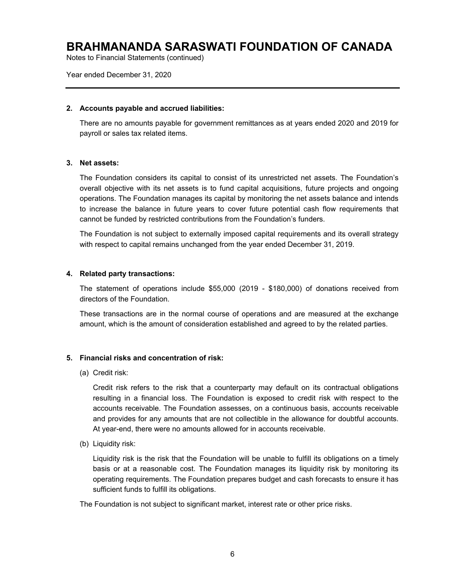Notes to Financial Statements (continued)

Year ended December 31, 2020

### **2. Accounts payable and accrued liabilities:**

There are no amounts payable for government remittances as at years ended 2020 and 2019 for payroll or sales tax related items.

### **3. Net assets:**

The Foundation considers its capital to consist of its unrestricted net assets. The Foundation's overall objective with its net assets is to fund capital acquisitions, future projects and ongoing operations. The Foundation manages its capital by monitoring the net assets balance and intends to increase the balance in future years to cover future potential cash flow requirements that cannot be funded by restricted contributions from the Foundation's funders.

The Foundation is not subject to externally imposed capital requirements and its overall strategy with respect to capital remains unchanged from the year ended December 31, 2019.

#### **4. Related party transactions:**

The statement of operations include \$55,000 (2019 - \$180,000) of donations received from directors of the Foundation.

These transactions are in the normal course of operations and are measured at the exchange amount, which is the amount of consideration established and agreed to by the related parties.

### **5. Financial risks and concentration of risk:**

(a) Credit risk:

Credit risk refers to the risk that a counterparty may default on its contractual obligations resulting in a financial loss. The Foundation is exposed to credit risk with respect to the accounts receivable. The Foundation assesses, on a continuous basis, accounts receivable and provides for any amounts that are not collectible in the allowance for doubtful accounts. At year-end, there were no amounts allowed for in accounts receivable.

(b) Liquidity risk:

Liquidity risk is the risk that the Foundation will be unable to fulfill its obligations on a timely basis or at a reasonable cost. The Foundation manages its liquidity risk by monitoring its operating requirements. The Foundation prepares budget and cash forecasts to ensure it has sufficient funds to fulfill its obligations.

The Foundation is not subject to significant market, interest rate or other price risks.